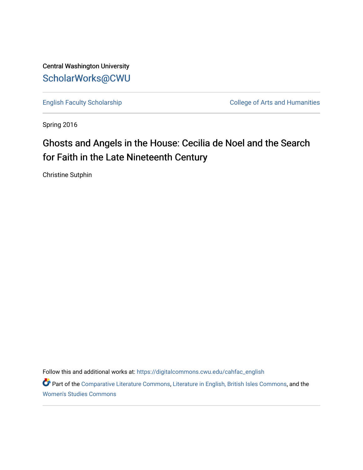Central Washington University [ScholarWorks@CWU](https://digitalcommons.cwu.edu/) 

[English Faculty Scholarship](https://digitalcommons.cwu.edu/cahfac_english) College of Arts and Humanities

Spring 2016

# Ghosts and Angels in the House: Cecilia de Noel and the Search for Faith in the Late Nineteenth Century

Christine Sutphin

Follow this and additional works at: [https://digitalcommons.cwu.edu/cahfac\\_english](https://digitalcommons.cwu.edu/cahfac_english?utm_source=digitalcommons.cwu.edu%2Fcahfac_english%2F31&utm_medium=PDF&utm_campaign=PDFCoverPages)

Part of the [Comparative Literature Commons](http://network.bepress.com/hgg/discipline/454?utm_source=digitalcommons.cwu.edu%2Fcahfac_english%2F31&utm_medium=PDF&utm_campaign=PDFCoverPages), [Literature in English, British Isles Commons,](http://network.bepress.com/hgg/discipline/456?utm_source=digitalcommons.cwu.edu%2Fcahfac_english%2F31&utm_medium=PDF&utm_campaign=PDFCoverPages) and the [Women's Studies Commons](http://network.bepress.com/hgg/discipline/561?utm_source=digitalcommons.cwu.edu%2Fcahfac_english%2F31&utm_medium=PDF&utm_campaign=PDFCoverPages)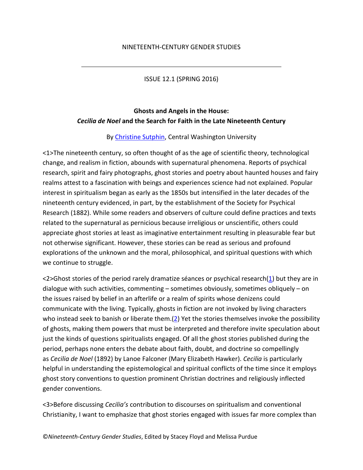ISSUE 12.1 (SPRING 2016)

# **Ghosts and Angels in the House:** *Cecilia de Noel* **and the Search for Faith in the Late Nineteenth Century**

## By [Christine Sutphin,](http://www.ncgsjournal.com/issue121/contributorbios121.htm%23sutphin) Central Washington University

<1>The nineteenth century, so often thought of as the age of scientific theory, technological change, and realism in fiction, abounds with supernatural phenomena. Reports of psychical research, spirit and fairy photographs, ghost stories and poetry about haunted houses and fairy realms attest to a fascination with beings and experiences science had not explained. Popular interest in spiritualism began as early as the 1850s but intensified in the later decades of the nineteenth century evidenced, in part, by the establishment of the Society for Psychical Research (1882). While some readers and observers of culture could define practices and texts related to the supernatural as pernicious because irreligious or unscientific, others could appreciate ghost stories at least as imaginative entertainment resulting in pleasurable fear but not otherwise significant. However, these stories can be read as serious and profound explorations of the unknown and the moral, philosophical, and spiritual questions with which we continue to struggle.

<2>Ghost stories of the period rarely dramatize séances or psychical research[\(1\)](http://www.ncgsjournal.com/issue121/sutphin.htm%23note1) but they are in dialogue with such activities, commenting – sometimes obviously, sometimes obliquely – on the issues raised by belief in an afterlife or a realm of spirits whose denizens could communicate with the living. Typically, ghosts in fiction are not invoked by living characters who instead seek to banish or liberate them. $(2)$  Yet the stories themselves invoke the possibility of ghosts, making them powers that must be interpreted and therefore invite speculation about just the kinds of questions spiritualists engaged. Of all the ghost stories published during the period, perhaps none enters the debate about faith, doubt, and doctrine so compellingly as *Cecilia de Noel* (1892) by Lanoe Falconer (Mary Elizabeth Hawker). *Cecilia* is particularly helpful in understanding the epistemological and spiritual conflicts of the time since it employs ghost story conventions to question prominent Christian doctrines and religiously inflected gender conventions.

<3>Before discussing *Cecilia's* contribution to discourses on spiritualism and conventional Christianity, I want to emphasize that ghost stories engaged with issues far more complex than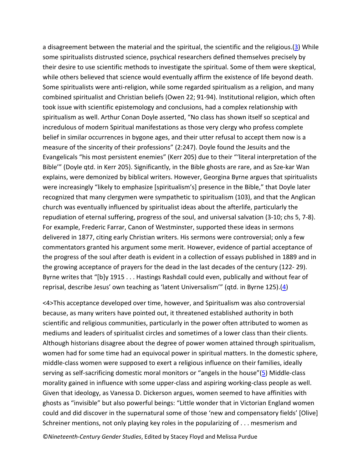a disagreement between the material and the spiritual, the scientific and the religious.[\(3\)](http://www.ncgsjournal.com/issue121/sutphin.htm%23note3) While some spiritualists distrusted science, psychical researchers defined themselves precisely by their desire to use scientific methods to investigate the spiritual. Some of them were skeptical, while others believed that science would eventually affirm the existence of life beyond death. Some spiritualists were anti-religion, while some regarded spiritualism as a religion, and many combined spiritualist and Christian beliefs (Owen 22; 91-94). Institutional religion, which often took issue with scientific epistemology and conclusions, had a complex relationship with spiritualism as well. Arthur Conan Doyle asserted, "No class has shown itself so sceptical and incredulous of modern Spiritual manifestations as those very clergy who profess complete belief in similar occurrences in bygone ages, and their utter refusal to accept them now is a measure of the sincerity of their professions" (2:247). Doyle found the Jesuits and the Evangelicals "his most persistent enemies" (Kerr 205) due to their "'literal interpretation of the Bible'" (Doyle qtd. in Kerr 205). Significantly, in the Bible ghosts are rare, and as Sze-kar Wan explains, were demonized by biblical writers. However, Georgina Byrne argues that spiritualists were increasingly "likely to emphasize [spiritualism's] presence in the Bible," that Doyle later recognized that many clergymen were sympathetic to spiritualism (103), and that the Anglican church was eventually influenced by spiritualist ideas about the afterlife, particularly the repudiation of eternal suffering, progress of the soul, and universal salvation (3-10; chs 5, 7-8). For example, Frederic Farrar, Canon of Westminster, supported these ideas in sermons delivered in 1877, citing early Christian writers. His sermons were controversial; only a few commentators granted his argument some merit. However, evidence of partial acceptance of the progress of the soul after death is evident in a collection of essays published in 1889 and in the growing acceptance of prayers for the dead in the last decades of the century (122- 29). Byrne writes that "[b]y 1915 . . . Hastings Rashdall could even, publically and without fear of reprisal, describe Jesus' own teaching as 'latent Universalism'" (qtd. in Byrne 125).[\(4\)](http://www.ncgsjournal.com/issue121/sutphin.htm%23note4)

<4>This acceptance developed over time, however, and Spiritualism was also controversial because, as many writers have pointed out, it threatened established authority in both scientific and religious communities, particularly in the power often attributed to women as mediums and leaders of spiritualist circles and sometimes of a lower class than their clients. Although historians disagree about the degree of power women attained through spiritualism, women had for some time had an equivocal power in spiritual matters. In the domestic sphere, middle-class women were supposed to exert a religious influence on their families, ideally serving as self-sacrificing domestic moral monitors or "angels in the house"[\(5\)](http://www.ncgsjournal.com/issue121/sutphin.htm%23note5) Middle-class morality gained in influence with some upper-class and aspiring working-class people as well. Given that ideology, as Vanessa D. Dickerson argues, women seemed to have affinities with ghosts as "invisible" but also powerful beings: "Little wonder that in Victorian England women could and did discover in the supernatural some of those 'new and compensatory fields' [Olive] Schreiner mentions, not only playing key roles in the popularizing of . . . mesmerism and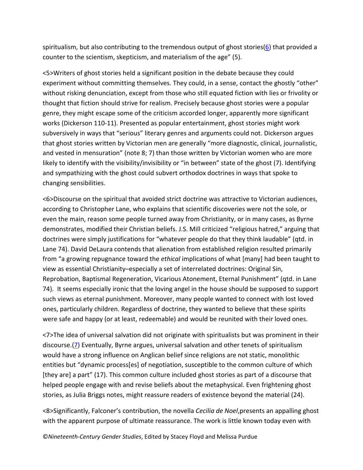spiritualism, but also contributing to the tremendous output of ghost stories[\(6\)](http://www.ncgsjournal.com/issue121/sutphin.htm%23note6) that provided a counter to the scientism, skepticism, and materialism of the age" (5).

<5>Writers of ghost stories held a significant position in the debate because they could experiment without committing themselves. They could, in a sense, contact the ghostly "other" without risking denunciation, except from those who still equated fiction with lies or frivolity or thought that fiction should strive for realism. Precisely because ghost stories were a popular genre, they might escape some of the criticism accorded longer, apparently more significant works (Dickerson 110-11). Presented as popular entertainment, ghost stories might work subversively in ways that "serious" literary genres and arguments could not. Dickerson argues that ghost stories written by Victorian men are generally "more diagnostic, clinical, journalistic, and vested in mensuration" (note 8; 7) than those written by Victorian women who are more likely to identify with the visibility/invisibility or "in between" state of the ghost (7). Identifying and sympathizing with the ghost could subvert orthodox doctrines in ways that spoke to changing sensibilities.

<6>Discourse on the spiritual that avoided strict doctrine was attractive to Victorian audiences, according to Christopher Lane, who explains that scientific discoveries were not the sole, or even the main, reason some people turned away from Christianity, or in many cases, as Byrne demonstrates, modified their Christian beliefs. J.S. Mill criticized "religious hatred," arguing that doctrines were simply justifications for "whatever people do that they think laudable" (qtd. in Lane 74). David DeLaura contends that alienation from established religion resulted primarily from "a growing repugnance toward the *ethical* implications of what [many] had been taught to view as essential Christianity–especially a set of interrelated doctrines: Original Sin, Reprobation, Baptismal Regeneration, Vicarious Atonement, Eternal Punishment" (qtd. in Lane 74). It seems especially ironic that the loving angel in the house should be supposed to support such views as eternal punishment. Moreover, many people wanted to connect with lost loved ones, particularly children. Regardless of doctrine, they wanted to believe that these spirits were safe and happy (or at least, redeemable) and would be reunited with their loved ones.

<7>The idea of universal salvation did not originate with spiritualists but was prominent in their discourse.[\(7\)](http://www.ncgsjournal.com/issue121/sutphin.htm%23note7) Eventually, Byrne argues, universal salvation and other tenets of spiritualism would have a strong influence on Anglican belief since religions are not static, monolithic entities but "dynamic process[es] of negotiation, susceptible to the common culture of which [they are] a part" (17). This common culture included ghost stories as part of a discourse that helped people engage with and revise beliefs about the metaphysical. Even frightening ghost stories, as Julia Briggs notes, might reassure readers of existence beyond the material (24).

<8>Significantly, Falconer's contribution, the novella *Cecilia de Noel*,presents an appalling ghost with the apparent purpose of ultimate reassurance. The work is little known today even with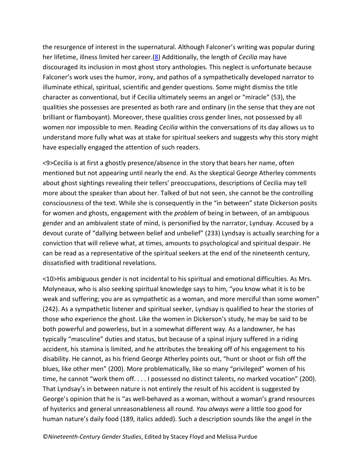the resurgence of interest in the supernatural. Although Falconer's writing was popular during her lifetime, illness limited her career.[\(8\)](http://www.ncgsjournal.com/issue121/sutphin.htm%23note8) Additionally, the length of *Cecilia* may have discouraged its inclusion in most ghost story anthologies. This neglect is unfortunate because Falconer's work uses the humor, irony, and pathos of a sympathetically developed narrator to illuminate ethical, spiritual, scientific and gender questions. Some might dismiss the title character as conventional, but if Cecilia ultimately seems an angel or "miracle" (53), the qualities she possesses are presented as both rare and ordinary (in the sense that they are not brilliant or flamboyant). Moreover, these qualities cross gender lines, not possessed by all women nor impossible to men. Reading *Cecilia* within the conversations of its day allows us to understand more fully what was at stake for spiritual seekers and suggests why this story might have especially engaged the attention of such readers.

<9>Cecilia is at first a ghostly presence/absence in the story that bears her name, often mentioned but not appearing until nearly the end. As the skeptical George Atherley comments about ghost sightings revealing their tellers' preoccupations, descriptions of Cecilia may tell more about the speaker than about her. Talked of but not seen, she cannot be the controlling consciousness of the text. While she is consequently in the "in between" state Dickerson posits for women and ghosts, engagement with the *problem* of being in between, of an ambiguous gender and an ambivalent state of mind, is personified by the narrator, Lyndsay. Accused by a devout curate of "dallying between belief and unbelief" (233) Lyndsay is actually searching for a conviction that will relieve what, at times, amounts to psychological and spiritual despair. He can be read as a representative of the spiritual seekers at the end of the nineteenth century, dissatisfied with traditional revelations.

<10>His ambiguous gender is not incidental to his spiritual and emotional difficulties. As Mrs. Molyneaux, who is also seeking spiritual knowledge says to him, "you know what it is to be weak and suffering; you are as sympathetic as a woman, and more merciful than some women" (242). As a sympathetic listener and spiritual seeker, Lyndsay is qualified to hear the stories of those who experience the ghost. Like the women in Dickerson's study, he may be said to be both powerful and powerless, but in a somewhat different way. As a landowner, he has typically "masculine" duties and status, but because of a spinal injury suffered in a riding accident, his stamina is limited, and he attributes the breaking off of his engagement to his disability. He cannot, as his friend George Atherley points out, "hunt or shoot or fish off the blues, like other men" (200). More problematically, like so many "privileged" women of his time, he cannot "work them off. . . . I possessed no distinct talents, no marked vocation" (200). That Lyndsay's in between nature is not entirely the result of his accident is suggested by George's opinion that he is "as well-behaved as a woman, without a woman's grand resources of hysterics and general unreasonableness all round. *You always were* a little too good for human nature's daily food (189, italics added). Such a description sounds like the angel in the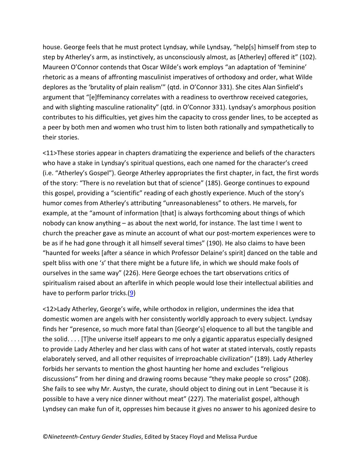house. George feels that he must protect Lyndsay, while Lyndsay, "help[s] himself from step to step by Atherley's arm, as instinctively, as unconsciously almost, as [Atherley] offered it" (102). Maureen O'Connor contends that Oscar Wilde's work employs "an adaptation of 'feminine' rhetoric as a means of affronting masculinist imperatives of orthodoxy and order, what Wilde deplores as the 'brutality of plain realism'" (qtd. in O'Connor 331). She cites Alan Sinfield's argument that "[e]ffeminancy correlates with a readiness to overthrow received categories, and with slighting masculine rationality" (qtd. in O'Connor 331). Lyndsay's amorphous position contributes to his difficulties, yet gives him the capacity to cross gender lines, to be accepted as a peer by both men and women who trust him to listen both rationally and sympathetically to their stories.

<11>These stories appear in chapters dramatizing the experience and beliefs of the characters who have a stake in Lyndsay's spiritual questions, each one named for the character's creed (i.e. "Atherley's Gospel"). George Atherley appropriates the first chapter, in fact, the first words of the story: "There is no revelation but that of science" (185). George continues to expound this gospel, providing a "scientific" reading of each ghostly experience. Much of the story's humor comes from Atherley's attributing "unreasonableness" to others. He marvels, for example, at the "amount of information [that] is always forthcoming about things of which nobody can know anything – as about the next world, for instance. The last time I went to church the preacher gave as minute an account of what our post-mortem experiences were to be as if he had gone through it all himself several times" (190). He also claims to have been "haunted for weeks [after a séance in which Professor Delaine's spirit] danced on the table and spelt bliss with one '*s*' that there might be a future life, in which we should make fools of ourselves in the same way" (226). Here George echoes the tart observations critics of spiritualism raised about an afterlife in which people would lose their intellectual abilities and have to perform parlor tricks. $(9)$ 

<12>Lady Atherley, George's wife, while orthodox in religion, undermines the idea that domestic women are angels with her consistently worldly approach to every subject. Lyndsay finds her "presence, so much more fatal than [George's] eloquence to all but the tangible and the solid. . . . [T]he universe itself appears to me only a gigantic apparatus especially designed to provide Lady Atherley and her class with cans of hot water at stated intervals, costly repasts elaborately served, and all other requisites of irreproachable civilization" (189). Lady Atherley forbids her servants to mention the ghost haunting her home and excludes "religious discussions" from her dining and drawing rooms because "they make people so cross" (208). She fails to see why Mr. Austyn, the curate, should object to dining out in Lent "because it is possible to have a very nice dinner without meat" (227). The materialist gospel, although Lyndsey can make fun of it, oppresses him because it gives no answer to his agonized desire to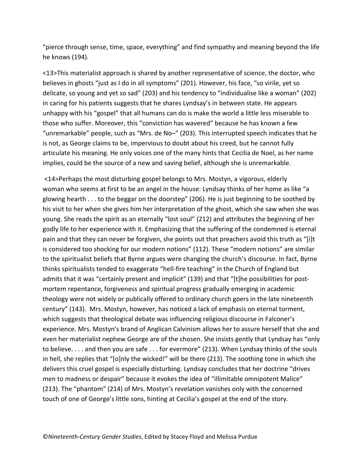"pierce through sense, time, space, everything" and find sympathy and meaning beyond the life he knows (194).

<13>This materialist approach is shared by another representative of science, the doctor, who believes in ghosts "just as I do in all symptoms" (201). However, his face, "so virile, yet so delicate, so young and yet so sad" (203) and his tendency to "individualise like a woman" (202) in caring for his patients suggests that he shares Lyndsay's in between state. He appears unhappy with his "gospel" that all humans can do is make the world a little less miserable to those who suffer. Moreover, this "conviction has wavered" because he has known a few "unremarkable" people, such as "Mrs. de No–" (203). This interrupted speech indicates that he is not, as George claims to be, impervious to doubt about his creed, but he cannot fully articulate his meaning. He only voices one of the many hints that Cecilia de Noel, as her name implies, could be the source of a new and saving belief, although she is unremarkable.

<14>Perhaps the most disturbing gospel belongs to Mrs. Mostyn, a vigorous, elderly woman who seems at first to be an angel in the house: Lyndsay thinks of her home as like "a glowing hearth . . . to the beggar on the doorstep" (206). He is just beginning to be soothed by his visit to her when she gives him her interpretation of the ghost, which she saw when she was young. She reads the spirit as an eternally "lost soul" (212) and attributes the beginning of her godly life to her experience with it. Emphasizing that the suffering of the condemned is eternal pain and that they can never be forgiven, she points out that preachers avoid this truth as "[i]t is considered too shocking for our modern notions" (112). These "modern notions" are similar to the spiritualist beliefs that Byrne argues were changing the church's discourse. In fact, Byrne thinks spiritualists tended to exaggerate "hell-fire teaching" in the Church of England but admits that it was "certainly present and implicit" (139) and that "[t]he possibilities for postmortem repentance, forgiveness and spiritual progress gradually emerging in academic theology were not widely or publically offered to ordinary church goers in the late nineteenth century" (143). Mrs. Mostyn, however, has noticed a lack of emphasis on eternal torment, which suggests that theological debate was influencing religious discourse in Falconer's experience. Mrs. Mostyn's brand of Anglican Calvinism allows her to assure herself that she and even her materialist nephew George are of the chosen. She insists gently that Lyndsay has "only to believe. . . . and then you are safe . . . for evermore" (213). When Lyndsay thinks of the souls in hell, she replies that "[o]nly the wicked!" will be there (213). The soothing tone in which she delivers this cruel gospel is especially disturbing. Lyndsay concludes that her doctrine "drives men to madness or despair" because it evokes the idea of "illimitable omnipotent Malice" (213). The "phantom" (214) of Mrs. Mostyn's revelation vanishes only with the concerned touch of one of George's little sons, hinting at Cecilia's gospel at the end of the story.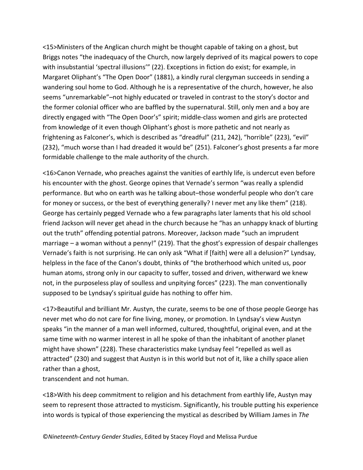<15>Ministers of the Anglican church might be thought capable of taking on a ghost, but Briggs notes "the inadequacy of the Church, now largely deprived of its magical powers to cope with insubstantial 'spectral illusions'" (22). Exceptions in fiction do exist; for example, in Margaret Oliphant's "The Open Door" (1881), a kindly rural clergyman succeeds in sending a wandering soul home to God. Although he is a representative of the church, however, he also seems "unremarkable"–not highly educated or traveled in contrast to the story's doctor and the former colonial officer who are baffled by the supernatural. Still, only men and a boy are directly engaged with "The Open Door's" spirit; middle-class women and girls are protected from knowledge of it even though Oliphant's ghost is more pathetic and not nearly as frightening as Falconer's, which is described as "dreadful" (211, 242), "horrible" (223), "evil" (232), "much worse than I had dreaded it would be" (251). Falconer's ghost presents a far more formidable challenge to the male authority of the church.

<16>Canon Vernade, who preaches against the vanities of earthly life, is undercut even before his encounter with the ghost. George opines that Vernade's sermon "was really a splendid performance. But who on earth was he talking about–those wonderful people who don't care for money or success, or the best of everything generally? I never met any like them" (218). George has certainly pegged Vernade who a few paragraphs later laments that his old school friend Jackson will never get ahead in the church because he "has an unhappy knack of blurting out the truth" offending potential patrons. Moreover, Jackson made "such an imprudent marriage – a woman without a penny!" (219). That the ghost's expression of despair challenges Vernade's faith is not surprising. He can only ask "What if [faith] were all a delusion?" Lyndsay, helpless in the face of the Canon's doubt, thinks of "the brotherhood which united us, poor human atoms, strong only in our capacity to suffer, tossed and driven, witherward we knew not, in the purposeless play of soulless and unpitying forces" (223). The man conventionally supposed to be Lyndsay's spiritual guide has nothing to offer him.

<17>Beautiful and brilliant Mr. Austyn, the curate, seems to be one of those people George has never met who do not care for fine living, money, or promotion. In Lyndsay's view Austyn speaks "in the manner of a man well informed, cultured, thoughtful, original even, and at the same time with no warmer interest in all he spoke of than the inhabitant of another planet might have shown" (228). These characteristics make Lyndsay feel "repelled as well as attracted" (230) and suggest that Austyn is in this world but not of it, like a chilly space alien rather than a ghost,

transcendent and not human.

<18>With his deep commitment to religion and his detachment from earthly life, Austyn may seem to represent those attracted to mysticism. Significantly, his trouble putting his experience into words is typical of those experiencing the mystical as described by William James in *The*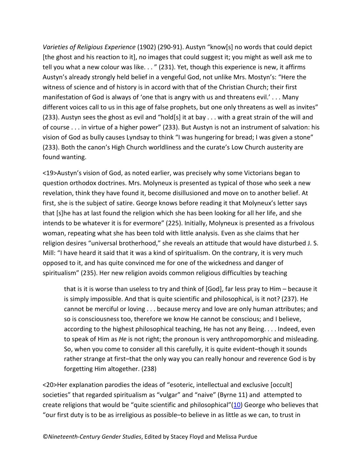*Varieties of Religious Experience* (1902) (290-91). Austyn "know[s] no words that could depict [the ghost and his reaction to it], no images that could suggest it; you might as well ask me to tell you what a new colour was like. . . " (231). Yet, though this experience is new, it affirms Austyn's already strongly held belief in a vengeful God, not unlike Mrs. Mostyn's: "Here the witness of science and of history is in accord with that of the Christian Church; their first manifestation of God is always of 'one that is angry with us and threatens evil.' . . . Many different voices call to us in this age of false prophets, but one only threatens as well as invites" (233). Austyn sees the ghost as evil and "hold[s] it at bay . . . with a great strain of the will and of course . . . in virtue of a higher power" (233). But Austyn is not an instrument of salvation: his vision of God as bully causes Lyndsay to think "I was hungering for bread; I was given a stone" (233). Both the canon's High Church worldliness and the curate's Low Church austerity are found wanting.

<19>Austyn's vision of God, as noted earlier, was precisely why some Victorians began to question orthodox doctrines. Mrs. Molyneux is presented as typical of those who seek a new revelation, think they have found it, become disillusioned and move on to another belief. At first, she is the subject of satire. George knows before reading it that Molyneux's letter says that [s]he has at last found the religion which she has been looking for all her life, and she intends to be whatever it is for evermore" (225). Initially, Molyneux is presented as a frivolous woman, repeating what she has been told with little analysis. Even as she claims that her religion desires "universal brotherhood," she reveals an attitude that would have disturbed J. S. Mill: "I have heard it said that it was a kind of spiritualism. On the contrary, it is very much opposed to it, and has quite convinced me for one of the wickedness and danger of spiritualism" (235). Her new religion avoids common religious difficulties by teaching

that is it is worse than useless to try and think of [God], far less pray to Him – because it is simply impossible. And that is quite scientific and philosophical, is it not? (237). He cannot be merciful or loving . . . because mercy and love are only human attributes; and so is consciousness too, therefore we know He cannot be conscious; and I believe, according to the highest philosophical teaching, He has not any Being. . . . Indeed, even to speak of Him as *He* is not right; the pronoun is very anthropomorphic and misleading. So, when you come to consider all this carefully, it is quite evident–though it sounds rather strange at first–that the only way you can really honour and reverence God is by forgetting Him altogether. (238)

<20>Her explanation parodies the ideas of "esoteric, intellectual and exclusive [occult] societies" that regarded spiritualism as "vulgar" and "naive" (Byrne 11) and attempted to create religions that would be "quite scientific and philosophical"[\(10\)](http://www.ncgsjournal.com/issue121/sutphin.htm%23note10) George who believes that "our first duty is to be as irreligious as possible–to believe in as little as we can, to trust in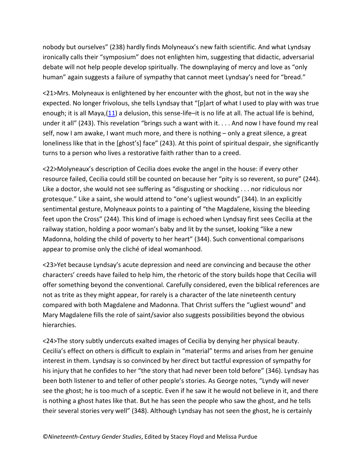nobody but ourselves" (238) hardly finds Molyneaux's new faith scientific. And what Lyndsay ironically calls their "symposium" does not enlighten him, suggesting that didactic, adversarial debate will not help people develop spiritually. The downplaying of mercy and love as "only human" again suggests a failure of sympathy that cannot meet Lyndsay's need for "bread."

<21>Mrs. Molyneaux is enlightened by her encounter with the ghost, but not in the way she expected. No longer frivolous, she tells Lyndsay that "[p]art of what I used to play with was true enough; it is all Maya,[\(11\)](http://www.ncgsjournal.com/issue121/sutphin.htm%23note11) a delusion, this sense-life–it is no life at all. The actual life is behind, under it all" (243). This revelation "brings such a want with it. . . . And now I have found my real self, now I am awake, I want much more, and there is nothing – only a great silence, a great loneliness like that in the [ghost's] face" (243). At this point of spiritual despair, she significantly turns to a person who lives a restorative faith rather than to a creed.

<22>Molyneaux's description of Cecilia does evoke the angel in the house: if every other resource failed, Cecilia could still be counted on because her "pity is so reverent, so pure" (244). Like a doctor, she would not see suffering as "disgusting or shocking . . . nor ridiculous nor grotesque." Like a saint, she would attend to "one's ugliest wounds" (344). In an explicitly sentimental gesture, Molyneaux points to a painting of "the Magdalene, kissing the bleeding feet upon the Cross" (244). This kind of image is echoed when Lyndsay first sees Cecilia at the railway station, holding a poor woman's baby and lit by the sunset, looking "like a new Madonna, holding the child of poverty to her heart" (344). Such conventional comparisons appear to promise only the cliché of ideal womanhood.

<23>Yet because Lyndsay's acute depression and need are convincing and because the other characters' creeds have failed to help him, the rhetoric of the story builds hope that Cecilia will offer something beyond the conventional. Carefully considered, even the biblical references are not as trite as they might appear, for rarely is a character of the late nineteenth century compared with both Magdalene and Madonna. That Christ suffers the "ugliest wound" and Mary Magdalene fills the role of saint/savior also suggests possibilities beyond the obvious hierarchies.

<24>The story subtly undercuts exalted images of Cecilia by denying her physical beauty. Cecilia's effect on others is difficult to explain in "material" terms and arises from her genuine interest in them. Lyndsay is so convinced by her direct but tactful expression of sympathy for his injury that he confides to her "the story that had never been told before" (346). Lyndsay has been both listener to and teller of other people's stories. As George notes, "Lyndy will never see the ghost; he is too much of a sceptic. Even if he saw it he would not believe in it, and there is nothing a ghost hates like that. But he has seen the people who saw the ghost, and he tells their several stories very well" (348). Although Lyndsay has not seen the ghost, he is certainly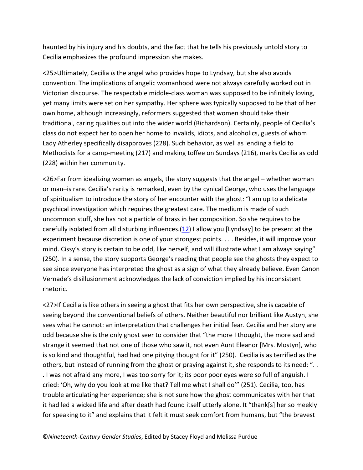haunted by his injury and his doubts, and the fact that he tells his previously untold story to Cecilia emphasizes the profound impression she makes.

<25>Ultimately, Cecilia *is* the angel who provides hope to Lyndsay, but she also avoids convention. The implications of angelic womanhood were not always carefully worked out in Victorian discourse. The respectable middle-class woman was supposed to be infinitely loving, yet many limits were set on her sympathy. Her sphere was typically supposed to be that of her own home, although increasingly, reformers suggested that women should take their traditional, caring qualities out into the wider world (Richardson). Certainly, people of Cecilia's class do not expect her to open her home to invalids, idiots, and alcoholics, guests of whom Lady Atherley specifically disapproves (228). Such behavior, as well as lending a field to Methodists for a camp-meeting (217) and making toffee on Sundays (216), marks Cecilia as odd (228) within her community.

<26>Far from idealizing women as angels, the story suggests that the angel – whether woman or man–is rare. Cecilia's rarity is remarked, even by the cynical George, who uses the language of spiritualism to introduce the story of her encounter with the ghost: "I am up to a delicate psychical investigation which requires the greatest care. The medium is made of such uncommon stuff, she has not a particle of brass in her composition. So she requires to be carefully isolated from all disturbing influences. $(12)$  I allow you [Lyndsay] to be present at the experiment because discretion is one of your strongest points. . . . Besides, it will improve your mind. Cissy's story is certain to be odd, like herself, and will illustrate what I am always saying" (250). In a sense, the story supports George's reading that people see the ghosts they expect to see since everyone has interpreted the ghost as a sign of what they already believe. Even Canon Vernade's disillusionment acknowledges the lack of conviction implied by his inconsistent rhetoric.

<27>If Cecilia is like others in seeing a ghost that fits her own perspective, she is capable of seeing beyond the conventional beliefs of others. Neither beautiful nor brilliant like Austyn, she sees what he cannot: an interpretation that challenges her initial fear. Cecilia and her story are odd because she is the only ghost seer to consider that "the more I thought, the more sad and strange it seemed that not one of those who saw it, not even Aunt Eleanor [Mrs. Mostyn], who is so kind and thoughtful, had had one pitying thought for it" (250). Cecilia is as terrified as the others, but instead of running from the ghost or praying against it, she responds to its need: ". . . I was not afraid any more, I was too sorry for it; its poor poor eyes were so full of anguish. I cried: 'Oh, why do you look at me like that? Tell me what I shall do'" (251). Cecilia, too, has trouble articulating her experience; she is not sure how the ghost communicates with her that it had led a wicked life and after death had found itself utterly alone. It "thank[s] her so meekly for speaking to it" and explains that it felt it must seek comfort from humans, but "the bravest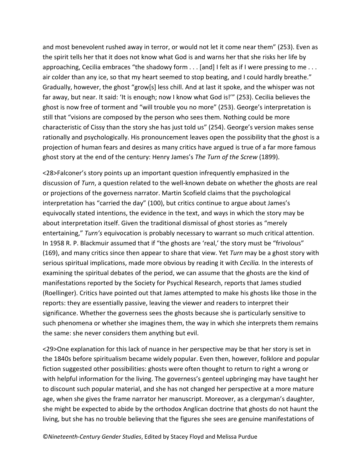and most benevolent rushed away in terror, or would not let it come near them" (253). Even as the spirit tells her that it does not know what God is and warns her that she risks her life by approaching, Cecilia embraces "the shadowy form . . . [and] I felt as if I were pressing to me . . . air colder than any ice, so that my heart seemed to stop beating, and I could hardly breathe." Gradually, however, the ghost "grow[s] less chill. And at last it spoke, and the whisper was not far away, but near. It said: 'It is enough; now I know what God is!'" (253). Cecilia believes the ghost is now free of torment and "will trouble you no more" (253). George's interpretation is still that "visions are composed by the person who sees them. Nothing could be more characteristic of Cissy than the story she has just told us" (254). George's version makes sense rationally and psychologically. His pronouncement leaves open the possibility that the ghost is a projection of human fears and desires as many critics have argued is true of a far more famous ghost story at the end of the century: Henry James's *The Turn of the Screw* (1899).

<28>Falconer's story points up an important question infrequently emphasized in the discussion of *Turn*, a question related to the well-known debate on whether the ghosts are real or projections of the governess narrator. Martin Scofield claims that the psychological interpretation has "carried the day" (100), but critics continue to argue about James's equivocally stated intentions, the evidence in the text, and ways in which the story may be about interpretation itself. Given the traditional dismissal of ghost stories as "merely entertaining," *Turn's* equivocation is probably necessary to warrant so much critical attention. In 1958 R. P. Blackmuir assumed that if "the ghosts are 'real,' the story must be "frivolous" (169), and many critics since then appear to share that view. Yet *Turn* may be a ghost story with serious spiritual implications, made more obvious by reading it with *Cecilia.* In the interests of examining the spiritual debates of the period, we can assume that the ghosts are the kind of manifestations reported by the Society for Psychical Research, reports that James studied (Roellinger). Critics have pointed out that James attempted to make his ghosts like those in the reports: they are essentially passive, leaving the viewer and readers to interpret their significance. Whether the governess sees the ghosts because she is particularly sensitive to such phenomena or whether she imagines them, the way in which she interprets them remains the same: she never considers them anything but evil.

<29>One explanation for this lack of nuance in her perspective may be that her story is set in the 1840s before spiritualism became widely popular. Even then, however, folklore and popular fiction suggested other possibilities: ghosts were often thought to return to right a wrong or with helpful information for the living. The governess's genteel upbringing may have taught her to discount such popular material, and she has not changed her perspective at a more mature age, when she gives the frame narrator her manuscript. Moreover, as a clergyman's daughter, she might be expected to abide by the orthodox Anglican doctrine that ghosts do not haunt the living, but she has no trouble believing that the figures she sees are genuine manifestations of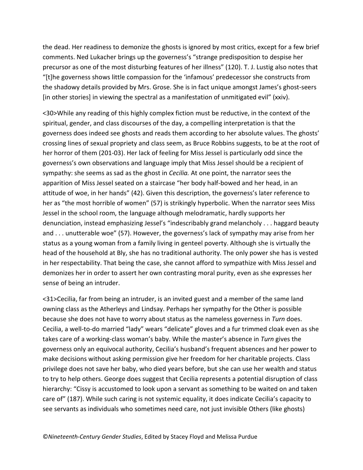the dead. Her readiness to demonize the ghosts is ignored by most critics, except for a few brief comments. Ned Lukacher brings up the governess's "strange predisposition to despise her precursor as one of the most disturbing features of her illness" (120). T. J. Lustig also notes that "[t]he governess shows little compassion for the 'infamous' predecessor she constructs from the shadowy details provided by Mrs. Grose. She is in fact unique amongst James's ghost-seers [in other stories] in viewing the spectral as a manifestation of unmitigated evil" (xxiv).

<30>While any reading of this highly complex fiction must be reductive, in the context of the spiritual, gender, and class discourses of the day, a compelling interpretation is that the governess does indeed see ghosts and reads them according to her absolute values. The ghosts' crossing lines of sexual propriety and class seem, as Bruce Robbins suggests, to be at the root of her horror of them (201-03). Her lack of feeling for Miss Jessel is particularly odd since the governess's own observations and language imply that Miss Jessel should be a recipient of sympathy: she seems as sad as the ghost in *Cecilia.* At one point, the narrator sees the apparition of Miss Jessel seated on a staircase "her body half-bowed and her head, in an attitude of woe, in her hands" (42). Given this description, the governess's later reference to her as "the most horrible of women" (57) is strikingly hyperbolic. When the narrator sees Miss Jessel in the school room, the language although melodramatic, hardly supports her denunciation, instead emphasizing Jessel's "indescribably grand melancholy . . . haggard beauty and . . . unutterable woe" (57). However, the governess's lack of sympathy may arise from her status as a young woman from a family living in genteel poverty. Although she is virtually the head of the household at Bly, she has no traditional authority. The only power she has is vested in her respectability. That being the case, she cannot afford to sympathize with Miss Jessel and demonizes her in order to assert her own contrasting moral purity, even as she expresses her sense of being an intruder.

<31>Cecilia, far from being an intruder, is an invited guest and a member of the same land owning class as the Atherleys and Lindsay. Perhaps her sympathy for the Other is possible because she does not have to worry about status as the nameless governess in *Turn* does. Cecilia, a well-to-do married "lady" wears "delicate" gloves and a fur trimmed cloak even as she takes care of a working-class woman's baby. While the master's absence in *Turn* gives the governess only an equivocal authority, Cecilia's husband's frequent absences and her power to make decisions without asking permission give her freedom for her charitable projects. Class privilege does not save her baby, who died years before, but she can use her wealth and status to try to help others. George does suggest that Cecilia represents a potential disruption of class hierarchy: "Cissy is accustomed to look upon a servant as something to be waited on and taken care of" (187). While such caring is not systemic equality, it does indicate Cecilia's capacity to see servants as individuals who sometimes need care, not just invisible Others (like ghosts)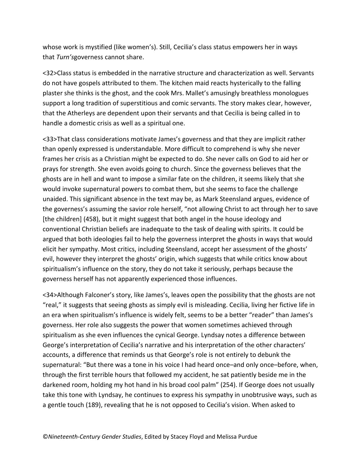whose work is mystified (like women's). Still, Cecilia's class status empowers her in ways that *Turn's*governess cannot share.

<32>Class status is embedded in the narrative structure and characterization as well. Servants do not have gospels attributed to them. The kitchen maid reacts hysterically to the falling plaster she thinks is the ghost, and the cook Mrs. Mallet's amusingly breathless monologues support a long tradition of superstitious and comic servants. The story makes clear, however, that the Atherleys are dependent upon their servants and that Cecilia is being called in to handle a domestic crisis as well as a spiritual one.

<33>That class considerations motivate James's governess and that they are implicit rather than openly expressed is understandable. More difficult to comprehend is why she never frames her crisis as a Christian might be expected to do. She never calls on God to aid her or prays for strength. She even avoids going to church. Since the governess believes that the ghosts are in hell and want to impose a similar fate on the children, it seems likely that she would invoke supernatural powers to combat them, but she seems to face the challenge unaided. This significant absence in the text may be, as Mark Steensland argues, evidence of the governess's assuming the savior role herself, "not allowing Christ to act through her to save [the children] (458), but it might suggest that both angel in the house ideology and conventional Christian beliefs are inadequate to the task of dealing with spirits. It could be argued that both ideologies fail to help the governess interpret the ghosts in ways that would elicit her sympathy. Most critics, including Steensland, accept her assessment of the ghosts' evil, however they interpret the ghosts' origin, which suggests that while critics know about spiritualism's influence on the story, they do not take it seriously, perhaps because the governess herself has not apparently experienced those influences.

<34>Although Falconer's story, like James's, leaves open the possibility that the ghosts are not "real," it suggests that seeing ghosts as simply evil is misleading. Cecilia, living her fictive life in an era when spiritualism's influence is widely felt, seems to be a better "reader" than James's governess. Her role also suggests the power that women sometimes achieved through spiritualism as she even influences the cynical George. Lyndsay notes a difference between George's interpretation of Cecilia's narrative and his interpretation of the other characters' accounts, a difference that reminds us that George's role is not entirely to debunk the supernatural: "But there was a tone in his voice I had heard once–and only once–before, when, through the first terrible hours that followed my accident, he sat patiently beside me in the darkened room, holding my hot hand in his broad cool palm" (254). If George does not usually take this tone with Lyndsay, he continues to express his sympathy in unobtrusive ways, such as a gentle touch (189), revealing that he is not opposed to Cecilia's vision. When asked to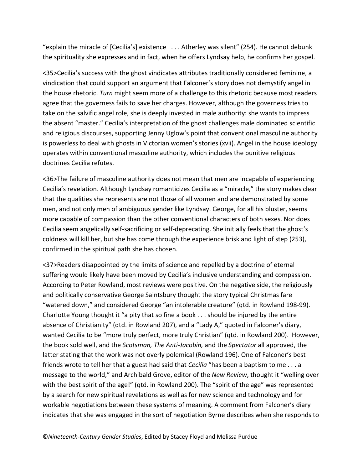"explain the miracle of [Cecilia's] existence . . . Atherley was silent" (254). He cannot debunk the spirituality she expresses and in fact, when he offers Lyndsay help, he confirms her gospel.

<35>Cecilia's success with the ghost vindicates attributes traditionally considered feminine, a vindication that could support an argument that Falconer's story does not demystify angel in the house rhetoric. *Turn* might seem more of a challenge to this rhetoric because most readers agree that the governess fails to save her charges. However, although the governess tries to take on the salvific angel role, she is deeply invested in male authority: she wants to impress the absent "master." Cecilia's interpretation of the ghost challenges male dominated scientific and religious discourses, supporting Jenny Uglow's point that conventional masculine authority is powerless to deal with ghosts in Victorian women's stories (xvii). Angel in the house ideology operates within conventional masculine authority, which includes the punitive religious doctrines Cecilia refutes.

<36>The failure of masculine authority does not mean that men are incapable of experiencing Cecilia's revelation. Although Lyndsay romanticizes Cecilia as a "miracle," the story makes clear that the qualities she represents are not those of all women and are demonstrated by some men, and not only men of ambiguous gender like Lyndsay. George, for all his bluster, seems more capable of compassion than the other conventional characters of both sexes. Nor does Cecilia seem angelically self-sacrificing or self-deprecating. She initially feels that the ghost's coldness will kill her, but she has come through the experience brisk and light of step (253), confirmed in the spiritual path she has chosen.

<37>Readers disappointed by the limits of science and repelled by a doctrine of eternal suffering would likely have been moved by Cecilia's inclusive understanding and compassion. According to Peter Rowland, most reviews were positive. On the negative side, the religiously and politically conservative George Saintsbury thought the story typical Christmas fare "watered down," and considered George "an intolerable creature" (qtd. in Rowland 198-99). Charlotte Young thought it "a pity that so fine a book . . . should be injured by the entire absence of Christianity" (qtd. in Rowland 207), and a "Lady A," quoted in Falconer's diary, wanted Cecilia to be "more truly perfect, more truly Christian" (qtd. in Rowland 200). However, the book sold well, and the *Scotsman, The Anti-Jacobin,* and the *Spectator* all approved, the latter stating that the work was not overly polemical (Rowland 196). One of Falconer's best friends wrote to tell her that a guest had said that *Cecilia* "has been a baptism to me . . . a message to the world," and Archibald Grove, editor of the *New Review*, thought it "welling over with the best spirit of the age!" (qtd. in Rowland 200). The "spirit of the age" was represented by a search for new spiritual revelations as well as for new science and technology and for workable negotiations between these systems of meaning. A comment from Falconer's diary indicates that she was engaged in the sort of negotiation Byrne describes when she responds to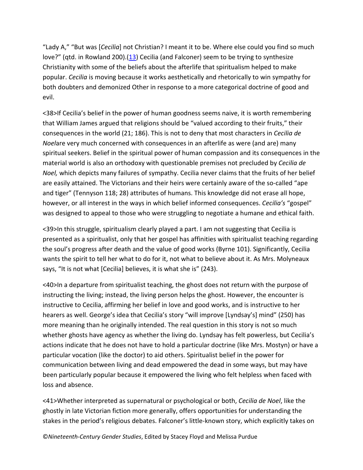"Lady A," "But was [*Cecilia*] not Christian? I meant it to be. Where else could you find so much love?" (qtd. in Rowland 200).[\(13\)](http://www.ncgsjournal.com/issue121/sutphin.htm%23note13) Cecilia (and Falconer) seem to be trying to synthesize Christianity with some of the beliefs about the afterlife that spiritualism helped to make popular. *Cecilia* is moving because it works aesthetically and rhetorically to win sympathy for both doubters and demonized Other in response to a more categorical doctrine of good and evil.

<38>If Cecilia's belief in the power of human goodness seems naive, it is worth remembering that William James argued that religions should be "valued according to their fruits," their consequences in the world (21; 186). This is not to deny that most characters in *Cecilia de Noel*are very much concerned with consequences in an afterlife as were (and are) many spiritual seekers. Belief in the spiritual power of human compassion and its consequences in the material world is also an orthodoxy with questionable premises not precluded by *Cecilia de Noel,* which depicts many failures of sympathy. Cecilia never claims that the fruits of her belief are easily attained. The Victorians and their heirs were certainly aware of the so-called "ape and tiger" (Tennyson 118; 28) attributes of humans. This knowledge did not erase all hope, however, or all interest in the ways in which belief informed consequences. *Cecilia's* "gospel" was designed to appeal to those who were struggling to negotiate a humane and ethical faith.

<39>In this struggle, spiritualism clearly played a part. I am not suggesting that Cecilia is presented as a spiritualist, only that her gospel has affinities with spiritualist teaching regarding the soul's progress after death and the value of good works (Byrne 101). Significantly, Cecilia wants the spirit to tell her what to do for it, not what to believe about it. As Mrs. Molyneaux says, "It is not what [Cecilia] believes, it is what she is" (243).

<40>In a departure from spiritualist teaching, the ghost does not return with the purpose of instructing the living; instead, the living person helps the ghost. However, the encounter is instructive to Cecilia, affirming her belief in love and good works, and is instructive to her hearers as well. George's idea that Cecilia's story "will improve [Lyndsay's] mind" (250) has more meaning than he originally intended. The real question in this story is not so much whether ghosts have agency as whether the living do. Lyndsay has felt powerless, but Cecilia's actions indicate that he does not have to hold a particular doctrine (like Mrs. Mostyn) or have a particular vocation (like the doctor) to aid others. Spiritualist belief in the power for communication between living and dead empowered the dead in some ways, but may have been particularly popular because it empowered the living who felt helpless when faced with loss and absence.

<41>Whether interpreted as supernatural or psychological or both, *Cecilia de Noel*, like the ghostly in late Victorian fiction more generally, offers opportunities for understanding the stakes in the period's religious debates. Falconer's little-known story, which explicitly takes on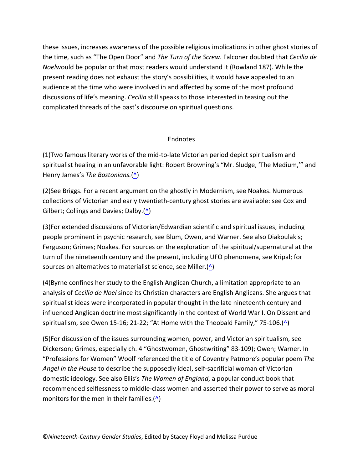these issues, increases awareness of the possible religious implications in other ghost stories of the time, such as "The Open Door" and *The Turn of the Screw*. Falconer doubted that *Cecilia de Noel*would be popular or that most readers would understand it (Rowland 187). While the present reading does not exhaust the story's possibilities, it would have appealed to an audience at the time who were involved in and affected by some of the most profound discussions of life's meaning. *Cecilia* still speaks to those interested in teasing out the complicated threads of the past's discourse on spiritual questions.

### Endnotes

(1)Two famous literary works of the mid-to-late Victorian period depict spiritualism and spiritualist healing in an unfavorable light: Robert Browning's "Mr. Sludge, 'The Medium,'" and Henry James's *The Bostonians.*[\(^\)](http://www.ncgsjournal.com/issue121/sutphin.htm%23return1)

(2)See Briggs. For a recent argument on the ghostly in Modernism, see Noakes. Numerous collections of Victorian and early twentieth-century ghost stories are available: see Cox and Gilbert; Collings and Davies; Dalby. $($ <u>^</u>)

(3)For extended discussions of Victorian/Edwardian scientific and spiritual issues, including people prominent in psychic research, see Blum, Owen, and Warner. See also Diakoulakis; Ferguson; Grimes; Noakes. For sources on the exploration of the spiritual/supernatural at the turn of the nineteenth century and the present, including UFO phenomena, see Kripal; for sources on alternatives to materialist science, see Miller. $(\triangle)$ 

(4)Byrne confines her study to the English Anglican Church, a limitation appropriate to an analysis of *Cecilia de Noel* since its Christian characters are English Anglicans. She argues that spiritualist ideas were incorporated in popular thought in the late nineteenth century and influenced Anglican doctrine most significantly in the context of World War I. On Dissent and spiritualism, see Owen 15-16; 21-22; "At Home with the Theobald Family," 75-106. $($ ^{\wedge})

(5)For discussion of the issues surrounding women, power, and Victorian spiritualism, see Dickerson; Grimes, especially ch. 4 "Ghostwomen, Ghostwriting" 83-109); Owen; Warner. In "Professions for Women" Woolf referenced the title of Coventry Patmore's popular poem *The Angel in the House* to describe the supposedly ideal, self-sacrificial woman of Victorian domestic ideology. See also Ellis's *The Women of England*, a popular conduct book that recommended selflessness to middle-class women and asserted their power to serve as moral monitors for the men in their families. $(^{\wedge})$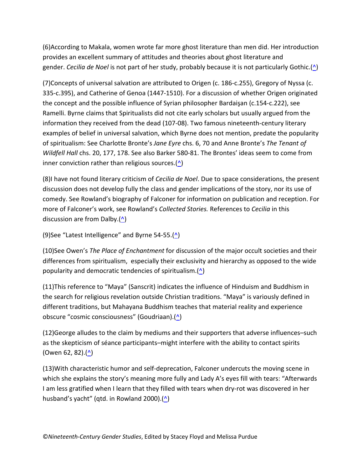(6)According to Makala, women wrote far more ghost literature than men did. Her introduction provides an excellent summary of attitudes and theories about ghost literature and gender. *Cecilia de Noel* is not part of her study, probably because it is not particularly Gothic.[\(^\)](http://www.ncgsjournal.com/issue121/sutphin.htm%23return6)

(7)Concepts of universal salvation are attributed to Origen (c. 186-c.255), Gregory of Nyssa (c. 335-c.395), and Catherine of Genoa (1447-1510). For a discussion of whether Origen originated the concept and the possible influence of Syrian philosopher Bardaişan (c.154-c.222), see Ramelli. Byrne claims that Spiritualists did not cite early scholars but usually argued from the information they received from the dead (107-08). Two famous nineteenth-century literary examples of belief in universal salvation, which Byrne does not mention, predate the popularity of spiritualism: See Charlotte Bronte's *Jane Eyre* chs. 6, 70 and Anne Bronte's *The Tenant of Wildfell Hall* chs. 20, 177, 178. See also Barker 580-81. The Brontes' ideas seem to come from inner conviction rather than religious sources. $($ <u></u> $\wedge$ )

(8)I have not found literary criticism of *Cecilia de Noel*. Due to space considerations, the present discussion does not develop fully the class and gender implications of the story, nor its use of comedy. See Rowland's biography of Falconer for information on publication and reception. For more of Falconer's work, see Rowland's *Collected Stories.* References to *Cecilia* in this discussion are from Dalby.[\(^\)](http://www.ncgsjournal.com/issue121/sutphin.htm%23return8)

(9)See "Latest Intelligence" and Byrne 54-55. $(\triangle)$ 

(10)See Owen's *The Place of Enchantment* for discussion of the major occult societies and their differences from spiritualism, especially their exclusivity and hierarchy as opposed to the wide popularity and democratic tendencies of spiritualism. $($ <u>^</u>)

(11)This reference to "Maya" (Sanscrit) indicates the influence of Hinduism and Buddhism in the search for religious revelation outside Christian traditions. "Maya" is variously defined in different traditions, but Mahayana Buddhism teaches that material reality and experience obscure "cosmic consciousness" (Goudriaan).[\(^\)](http://www.ncgsjournal.com/issue121/sutphin.htm%23return11)

(12)George alludes to the claim by mediums and their supporters that adverse influences–such as the skepticism of séance participants–might interfere with the ability to contact spirits (Owen 62, 82). $($ <u>^</u>)

(13)With characteristic humor and self-deprecation, Falconer undercuts the moving scene in which she explains the story's meaning more fully and Lady A's eyes fill with tears: "Afterwards I am less gratified when I learn that they filled with tears when dry-rot was discovered in her husband's yacht" (qtd. in Rowland 2000).[\(^\)](http://www.ncgsjournal.com/issue121/sutphin.htm%23return13)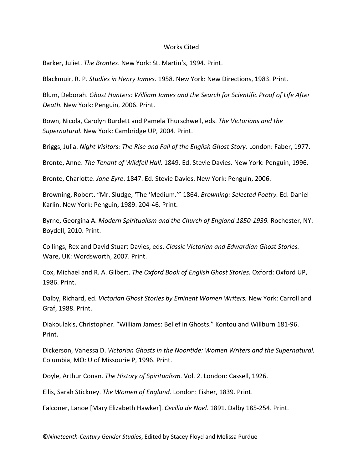#### Works Cited

Barker, Juliet. *The Brontes*. New York: St. Martin's, 1994. Print.

Blackmuir, R. P. *Studies in Henry James*. 1958. New York: New Directions, 1983. Print.

Blum, Deborah. *Ghost Hunters: William James and the Search for Scientific Proof of Life After Death.* New York: Penguin, 2006. Print.

Bown, Nicola, Carolyn Burdett and Pamela Thurschwell, eds. *The Victorians and the Supernatural.* New York: Cambridge UP, 2004. Print.

Briggs, Julia. *Night Visitors: The Rise and Fall of the English Ghost Story.* London: Faber, 1977.

Bronte, Anne. *The Tenant of Wildfell Hall.* 1849. Ed. Stevie Davies. New York: Penguin, 1996.

Bronte, Charlotte. *Jane Eyre*. 1847. Ed. Stevie Davies. New York: Penguin, 2006.

Browning, Robert. "Mr. Sludge, 'The 'Medium.'" 1864. *Browning: Selected Poetry.* Ed. Daniel Karlin. New York: Penguin, 1989. 204-46. Print.

Byrne, Georgina A. *Modern Spiritualism and the Church of England 1850-1939.* Rochester, NY: Boydell, 2010. Print.

Collings, Rex and David Stuart Davies, eds. *Classic Victorian and Edwardian Ghost Stories.* Ware, UK: Wordsworth, 2007. Print.

Cox, Michael and R. A. Gilbert. *The Oxford Book of English Ghost Stories.* Oxford: Oxford UP, 1986. Print.

Dalby, Richard, ed. *Victorian Ghost Stories by Eminent Women Writers.* New York: Carroll and Graf, 1988. Print.

Diakoulakis, Christopher. "William James: Belief in Ghosts." Kontou and Willburn 181-96. Print.

Dickerson, Vanessa D. *Victorian Ghosts in the Noontide: Women Writers and the Supernatural.* Columbia, MO: U of Missourie P, 1996. Print.

Doyle, Arthur Conan. *The History of Spiritualism.* Vol. 2. London: Cassell, 1926.

Ellis, Sarah Stickney. *The Women of England.* London: Fisher, 1839. Print.

Falconer, Lanoe [Mary Elizabeth Hawker]. *Cecilia de Noel.* 1891. Dalby 185-254. Print.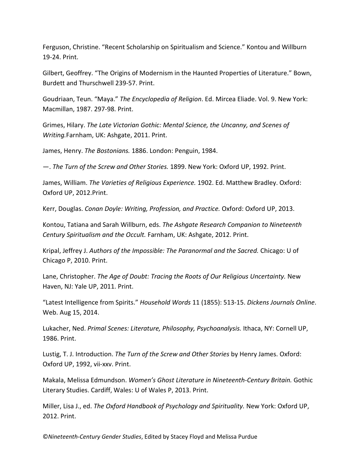Ferguson, Christine. "Recent Scholarship on Spiritualism and Science." Kontou and Willburn 19-24. Print.

Gilbert, Geoffrey. "The Origins of Modernism in the Haunted Properties of Literature." Bown, Burdett and Thurschwell 239-57. Print.

Goudriaan, Teun. "Maya." *The Encyclopedia of Religion*. Ed. Mircea Eliade. Vol. 9. New York: Macmillan, 1987. 297-98. Print.

Grimes, Hilary. *The Late Victorian Gothic: Mental Science, the Uncanny, and Scenes of Writing.*Farnham, UK: Ashgate, 2011. Print.

James, Henry. *The Bostonians.* 1886. London: Penguin, 1984.

—. *The Turn of the Screw and Other Stories.* 1899. New York: Oxford UP, 1992. Print.

James, William. *The Varieties of Religious Experience.* 1902. Ed. Matthew Bradley. Oxford: Oxford UP, 2012.Print.

Kerr, Douglas. *Conan Doyle: Writing, Profession, and Practice.* Oxford: Oxford UP, 2013.

Kontou, Tatiana and Sarah Willburn, eds. *The Ashgate Research Companion to Nineteenth Century Spiritualism and the Occult.* Farnham, UK: Ashgate, 2012. Print.

Kripal, Jeffrey J. *Authors of the Impossible: The Paranormal and the Sacred.* Chicago: U of Chicago P, 2010. Print.

Lane, Christopher. *The Age of Doubt: Tracing the Roots of Our Religious Uncertainty.* New Haven, NJ: Yale UP, 2011. Print.

"Latest Intelligence from Spirits." *Household Words* 11 (1855): 513-15. *Dickens Journals Online*. Web. Aug 15, 2014.

Lukacher, Ned. *Primal Scenes: Literature, Philosophy, Psychoanalysis.* Ithaca, NY: Cornell UP, 1986. Print.

Lustig, T. J. Introduction. *The Turn of the Screw and Other Stories* by Henry James. Oxford: Oxford UP, 1992, vii-xxv. Print.

Makala, Melissa Edmundson. *Women's Ghost Literature in Nineteenth-Century Britain.* Gothic Literary Studies. Cardiff, Wales: U of Wales P, 2013. Print.

Miller, Lisa J., ed. *The Oxford Handbook of Psychology and Spirituality.* New York: Oxford UP, 2012. Print.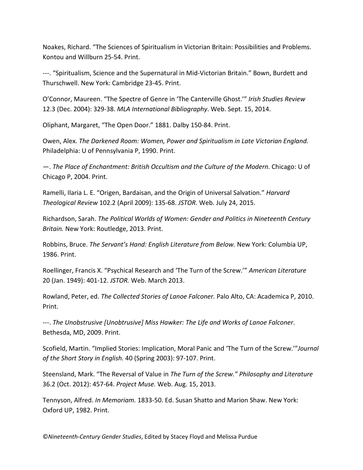Noakes, Richard. "The Sciences of Spiritualism in Victorian Britain: Possibilities and Problems. Kontou and Willburn 25-54. Print.

---. "Spiritualism, Science and the Supernatural in Mid-Victorian Britain." Bown, Burdett and Thurschwell. New York: Cambridge 23-45. Print.

O'Connor, Maureen. "The Spectre of Genre in 'The Canterville Ghost.'" *Irish Studies Review* 12.3 (Dec. 2004): 329-38. *MLA International Bibliography*. Web. Sept. 15, 2014.

Oliphant, Margaret, "The Open Door." 1881. Dalby 150-84. Print.

Owen, Alex. *The Darkened Room: Women, Power and Spiritualism in Late Victorian England.* Philadelphia: U of Pennsylvania P, 1990. Print.

—. *The Place of Enchantment: British Occultism and the Culture of the Modern.* Chicago: U of Chicago P, 2004. Print.

Ramelli, Ilaria L. E. "Origen, Bardaisan, and the Origin of Universal Salvation." *Harvard Theological Review* 102.2 (April 2009): 135-68. *JSTOR*. Web. July 24, 2015.

Richardson, Sarah. *The Political Worlds of Women: Gender and Politics in Nineteenth Century Britain.* New York: Routledge, 2013. Print.

Robbins, Bruce. *The Servant's Hand: English Literature from Below.* New York: Columbia UP, 1986. Print.

Roellinger, Francis X. "Psychical Research and 'The Turn of the Screw.'" *American Literature* 20 (Jan. 1949): 401-12. *JSTOR.* Web. March 2013.

Rowland, Peter, ed. *The Collected Stories of Lanoe Falconer.* Palo Alto, CA: Academica P, 2010. Print.

---. *The Unobstrusive [Unobtrusive] Miss Hawker: The Life and Works of Lanoe Falconer*. Bethesda, MD, 2009. Print.

Scofield, Martin. "Implied Stories: Implication, Moral Panic and 'The Turn of the Screw.'"*Journal of the Short Story in English.* 40 (Spring 2003): 97-107. Print.

Steensland, Mark. "The Reversal of Value in *The Turn of the Screw." Philosophy and Literature* 36.2 (Oct. 2012): 457-64. *Project Muse.* Web. Aug. 15, 2013.

Tennyson, Alfred. *In Memoriam.* 1833-50. Ed. Susan Shatto and Marion Shaw. New York: Oxford UP, 1982. Print.